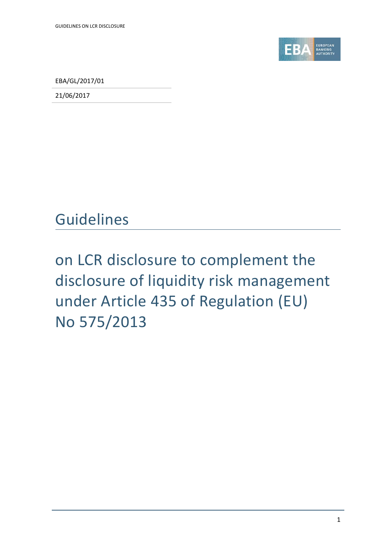

EBA/GL/2017/01

21/06/2017

### Guidelines

# on LCR disclosure to complement the disclosure of liquidity risk management under Article 435 of Regulation (EU) No 575/2013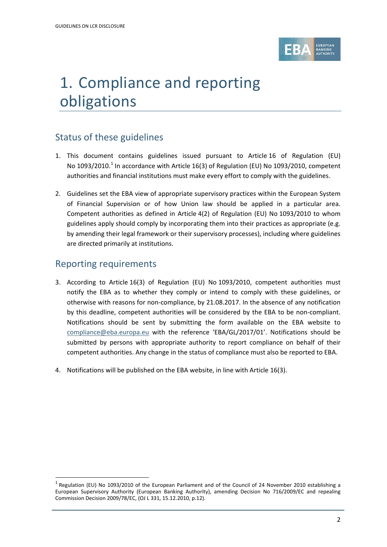

# 1. Compliance and reporting obligations

### Status of these guidelines

- 1. This document contains guidelines issued pursuant to Article 16 of Regulation (EU) No [1](#page-1-0)093/2010.<sup>1</sup> In accordance with Article 16(3) of Regulation (EU) No 1093/2010, competent authorities and financial institutions must make every effort to comply with the guidelines.
- 2. Guidelines set the EBA view of appropriate supervisory practices within the European System of Financial Supervision or of how Union law should be applied in a particular area. Competent authorities as defined in Article 4(2) of Regulation (EU) No 1093/2010 to whom guidelines apply should comply by incorporating them into their practices as appropriate (e.g. by amending their legal framework or their supervisory processes), including where guidelines are directed primarily at institutions.

#### Reporting requirements

j

- 3. According to Article 16(3) of Regulation (EU) No 1093/2010, competent authorities must notify the EBA as to whether they comply or intend to comply with these guidelines, or otherwise with reasons for non-compliance, by 21.08.2017. In the absence of any notification by this deadline, competent authorities will be considered by the EBA to be non-compliant. Notifications should be sent by submitting the form available on the EBA website to [compliance@eba.europa.eu](mailto:compliance@eba.europa.eu) with the reference 'EBA/GL/2017/01'. Notifications should be submitted by persons with appropriate authority to report compliance on behalf of their competent authorities. Any change in the status of compliance must also be reported to EBA.
- 4. Notifications will be published on the EBA website, in line with Article 16(3).

<span id="page-1-0"></span> $1$  Regulation (EU) No 1093/2010 of the European Parliament and of the Council of 24 November 2010 establishing a European Supervisory Authority (European Banking Authority), amending Decision No 716/2009/EC and repealing Commission Decision 2009/78/EC, (OJ L 331, 15.12.2010, p.12).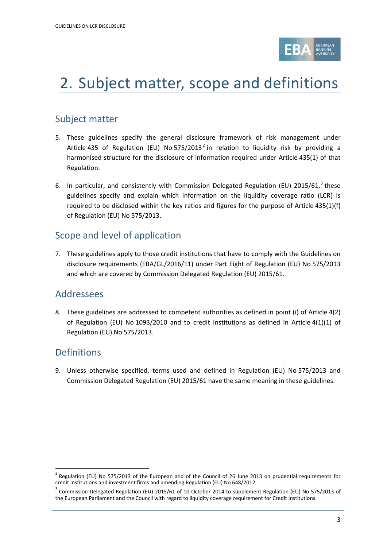

## 2. Subject matter, scope and definitions

### Subject matter

- 5. These guidelines specify the general disclosure framework of risk management under Article 435 of Regulation (EU) No 575/[2](#page-2-0)013<sup>2</sup> in relation to liquidity risk by providing a harmonised structure for the disclosure of information required under Article 435(1) of that Regulation.
- 6. In particular, and consistently with Commission Delegated Regulation (EU) 2015/61,<sup>[3](#page-2-1)</sup> these guidelines specify and explain which information on the liquidity coverage ratio (LCR) is required to be disclosed within the key ratios and figures for the purpose of Article 435(1)(f) of Regulation (EU) No 575/2013.

### Scope and level of application

7. These guidelines apply to those credit institutions that have to comply with the Guidelines on disclosure requirements (EBA/GL/2016/11) under Part Eight of Regulation (EU) No 575/2013 and which are covered by Commission Delegated Regulation (EU) 2015/61.

#### Addressees

8. These guidelines are addressed to competent authorities as defined in point (i) of Article 4(2) of Regulation (EU) No 1093/2010 and to credit institutions as defined in Article 4(1)(1) of Regulation (EU) No 575/2013.

#### Definitions

 $\overline{a}$ 

9. Unless otherwise specified, terms used and defined in Regulation (EU) No 575/2013 and Commission Delegated Regulation (EU) 2015/61 have the same meaning in these guidelines.

<span id="page-2-0"></span><sup>2</sup> Regulation (EU) No 575/2013 of the European and of the Council of 26 June 2013 on prudential requirements for credit institutions and investment firms and amending Regulation (EU) No 648/2012.

<span id="page-2-1"></span> $3$  Commission Delegated Regulation (EU) 2015/61 of 10 October 2014 to supplement Regulation (EU) No 575/2013 of the European Parliament and the Council with regard to liquidity coverage requirement for Credit Institutions.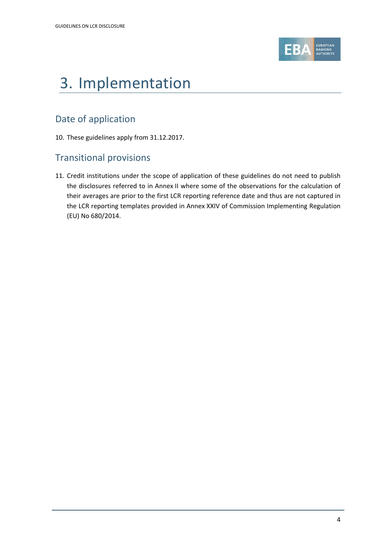

# 3. Implementation

### Date of application

10. These guidelines apply from 31.12.2017.

#### Transitional provisions

11. Credit institutions under the scope of application of these guidelines do not need to publish the disclosures referred to in Annex II where some of the observations for the calculation of their averages are prior to the first LCR reporting reference date and thus are not captured in the LCR reporting templates provided in Annex XXIV of Commission Implementing Regulation (EU) No 680/2014.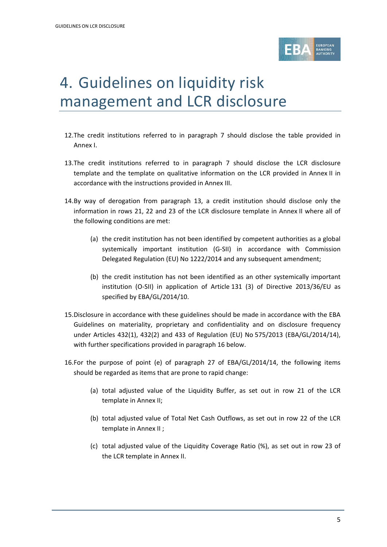

## 4. Guidelines on liquidity risk management and LCR disclosure

- 12.The credit institutions referred to in paragraph 7 should disclose the table provided in Annex I.
- 13.The credit institutions referred to in paragraph 7 should disclose the LCR disclosure template and the template on qualitative information on the LCR provided in Annex II in accordance with the instructions provided in Annex III.
- 14.By way of derogation from paragraph 13, a credit institution should disclose only the information in rows 21, 22 and 23 of the LCR disclosure template in Annex II where all of the following conditions are met:
	- (a) the credit institution has not been identified by competent authorities as a global systemically important institution (G-SII) in accordance with Commission Delegated Regulation (EU) No 1222/2014 and any subsequent amendment;
	- (b) the credit institution has not been identified as an other systemically important institution (O-SII) in application of Article 131 (3) of Directive 2013/36/EU as specified by EBA/GL/2014/10.
- 15.Disclosure in accordance with these guidelines should be made in accordance with the EBA Guidelines on materiality, proprietary and confidentiality and on disclosure frequency under Articles 432(1), 432(2) and 433 of Regulation (EU) No 575/2013 (EBA/GL/2014/14), with further specifications provided in paragraph 16 below.
- 16.For the purpose of point (e) of paragraph 27 of EBA/GL/2014/14, the following items should be regarded as items that are prone to rapid change:
	- (a) total adjusted value of the Liquidity Buffer, as set out in row 21 of the LCR template in Annex II;
	- (b) total adjusted value of Total Net Cash Outflows, as set out in row 22 of the LCR template in Annex II ;
	- (c) total adjusted value of the Liquidity Coverage Ratio (%), as set out in row 23 of the LCR template in Annex II.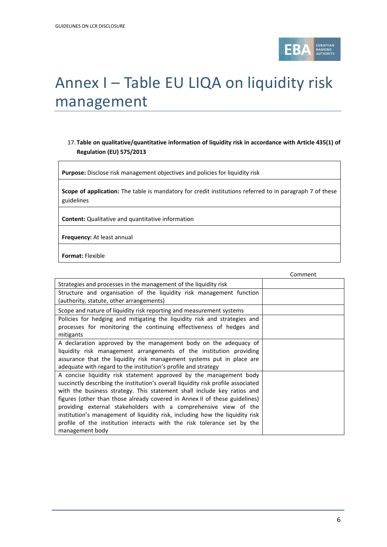

# Annex I – Table EU LIQA on liquidity risk management

#### 17. **Table on qualitative/quantitative information of liquidity risk in accordance with Article 435(1) of Regulation (EU) 575/2013**

**Purpose:** Disclose risk management objectives and policies for liquidity risk

**Scope of application:** The table is mandatory for credit institutions referred to in paragraph 7 of these guidelines

**Content:** Qualitative and quantitative information

**Frequency:** At least annual

**Format:** Flexible

|                                                                                   | Comment |
|-----------------------------------------------------------------------------------|---------|
| Strategies and processes in the management of the liquidity risk                  |         |
| Structure and organisation of the liquidity risk management function              |         |
| (authority, statute, other arrangements)                                          |         |
| Scope and nature of liquidity risk reporting and measurement systems              |         |
| Policies for hedging and mitigating the liquidity risk and strategies and         |         |
| processes for monitoring the continuing effectiveness of hedges and               |         |
| mitigants                                                                         |         |
| A declaration approved by the management body on the adequacy of                  |         |
| liquidity risk management arrangements of the institution providing               |         |
| assurance that the liquidity risk management systems put in place are             |         |
| adequate with regard to the institution's profile and strategy                    |         |
| A concise liquidity risk statement approved by the management body                |         |
| succinctly describing the institution's overall liquidity risk profile associated |         |
| with the business strategy. This statement shall include key ratios and           |         |
| figures (other than those already covered in Annex II of these guidelines)        |         |
| providing external stakeholders with a comprehensive view of the                  |         |
| institution's management of liquidity risk, including how the liquidity risk      |         |
| profile of the institution interacts with the risk tolerance set by the           |         |
| management body                                                                   |         |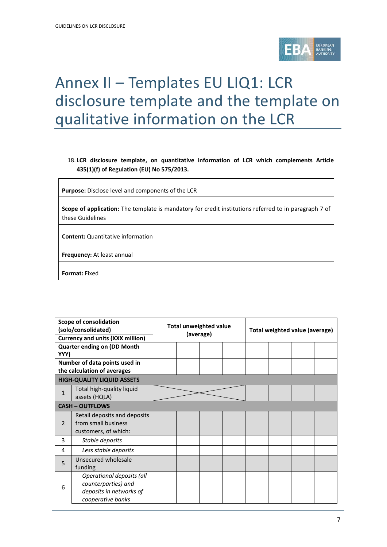

### Annex II – Templates EU LIQ1: LCR disclosure template and the template on qualitative information on the LCR

#### 18. **LCR disclosure template, on quantitative information of LCR which complements Article 435(1)(f) of Regulation (EU) No 575/2013.**

**Purpose:** Disclose level and components of the LCR

**Scope of application:** The template is mandatory for credit institutions referred to in paragraph 7 of these Guidelines

**Content:** Quantitative information

**Frequency:** At least annual

**Format:** Fixed

| <b>Scope of consolidation</b><br>(solo/consolidated) |                                                                                                  | <b>Total unweighted value</b><br>(average) |  |  | Total weighted value (average) |  |  |  |  |
|------------------------------------------------------|--------------------------------------------------------------------------------------------------|--------------------------------------------|--|--|--------------------------------|--|--|--|--|
| <b>Currency and units (XXX million)</b>              |                                                                                                  |                                            |  |  |                                |  |  |  |  |
|                                                      | <b>Quarter ending on (DD Month</b>                                                               |                                            |  |  |                                |  |  |  |  |
| YYY)                                                 |                                                                                                  |                                            |  |  |                                |  |  |  |  |
|                                                      | Number of data points used in                                                                    |                                            |  |  |                                |  |  |  |  |
|                                                      | the calculation of averages                                                                      |                                            |  |  |                                |  |  |  |  |
|                                                      | <b>HIGH-QUALITY LIQUID ASSETS</b>                                                                |                                            |  |  |                                |  |  |  |  |
| $\mathbf{1}$                                         | Total high-quality liquid<br>assets (HQLA)                                                       |                                            |  |  |                                |  |  |  |  |
|                                                      | <b>CASH-OUTFLOWS</b>                                                                             |                                            |  |  |                                |  |  |  |  |
| $\overline{2}$                                       | Retail deposits and deposits<br>from small business<br>customers, of which:                      |                                            |  |  |                                |  |  |  |  |
| 3                                                    | Stable deposits                                                                                  |                                            |  |  |                                |  |  |  |  |
| 4                                                    | Less stable deposits                                                                             |                                            |  |  |                                |  |  |  |  |
| 5                                                    | Unsecured wholesale<br>funding                                                                   |                                            |  |  |                                |  |  |  |  |
| 6                                                    | Operational deposits (all<br>counterparties) and<br>deposits in networks of<br>cooperative banks |                                            |  |  |                                |  |  |  |  |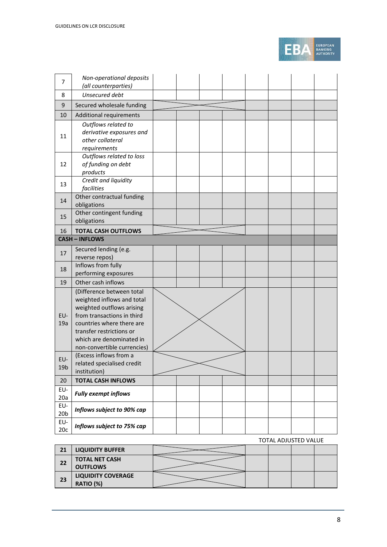

| 7                | Non-operational deposits<br>(all counterparties)        |  |  |  |  |
|------------------|---------------------------------------------------------|--|--|--|--|
| 8                | Unsecured debt                                          |  |  |  |  |
| $\boldsymbol{9}$ | Secured wholesale funding                               |  |  |  |  |
| 10               | Additional requirements                                 |  |  |  |  |
|                  | Outflows related to                                     |  |  |  |  |
|                  | derivative exposures and                                |  |  |  |  |
| 11               | other collateral                                        |  |  |  |  |
|                  | requirements                                            |  |  |  |  |
|                  | Outflows related to loss                                |  |  |  |  |
| 12               | of funding on debt<br>products                          |  |  |  |  |
|                  | Credit and liquidity                                    |  |  |  |  |
| 13               | facilities                                              |  |  |  |  |
| 14               | Other contractual funding                               |  |  |  |  |
|                  | obligations                                             |  |  |  |  |
| 15               | Other contingent funding                                |  |  |  |  |
|                  | obligations                                             |  |  |  |  |
| 16               | <b>TOTAL CASH OUTFLOWS</b><br><b>CASH - INFLOWS</b>     |  |  |  |  |
|                  | Secured lending (e.g.                                   |  |  |  |  |
| 17               | reverse repos)                                          |  |  |  |  |
|                  | Inflows from fully                                      |  |  |  |  |
| 18               | performing exposures                                    |  |  |  |  |
| 19               | Other cash inflows                                      |  |  |  |  |
|                  | (Difference between total                               |  |  |  |  |
|                  | weighted inflows and total                              |  |  |  |  |
| EU-              | weighted outflows arising<br>from transactions in third |  |  |  |  |
| 19a              | countries where there are                               |  |  |  |  |
|                  | transfer restrictions or                                |  |  |  |  |
|                  | which are denominated in                                |  |  |  |  |
|                  | non-convertible currencies)                             |  |  |  |  |
| EU-              | (Excess inflows from a                                  |  |  |  |  |
| 19 <sub>b</sub>  | related specialised credit<br>institution)              |  |  |  |  |
| 20               | <b>TOTAL CASH INFLOWS</b>                               |  |  |  |  |
| EU-              |                                                         |  |  |  |  |
| 20a              | <b>Fully exempt inflows</b>                             |  |  |  |  |
| EU-              | Inflows subject to 90% cap                              |  |  |  |  |
| 20 <sub>b</sub>  |                                                         |  |  |  |  |
| EU-<br>20c       | Inflows subject to 75% cap                              |  |  |  |  |

#### TOTAL ADJUSTED VALUE

| 21 | <b>LIQUIDITY BUFFER</b>                  |  |  |  |
|----|------------------------------------------|--|--|--|
| 22 | <b>TOTAL NET CASH</b><br><b>OUTFLOWS</b> |  |  |  |
| 23 | <b>LIQUIDITY COVERAGE</b><br>RATIO (%)   |  |  |  |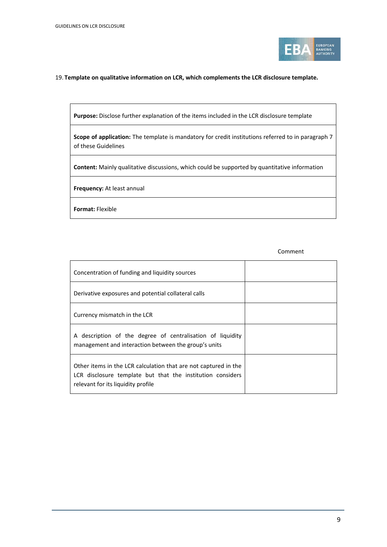

#### 19. **Template on qualitative information on LCR, which complements the LCR disclosure template.**

**Purpose:** Disclose further explanation of the items included in the LCR disclosure template

**Scope of application:** The template is mandatory for credit institutions referred to in paragraph 7 of these Guidelines

**Content:** Mainly qualitative discussions, which could be supported by quantitative information

**Frequency:** At least annual

**Format:** Flexible

Comment

| Concentration of funding and liquidity sources                                                                                                                      |  |
|---------------------------------------------------------------------------------------------------------------------------------------------------------------------|--|
| Derivative exposures and potential collateral calls                                                                                                                 |  |
| Currency mismatch in the LCR                                                                                                                                        |  |
| A description of the degree of centralisation of liquidity<br>management and interaction between the group's units                                                  |  |
| Other items in the LCR calculation that are not captured in the<br>LCR disclosure template but that the institution considers<br>relevant for its liquidity profile |  |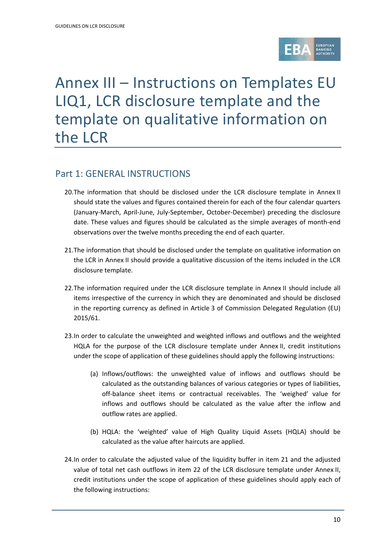

## Annex III – Instructions on Templates EU LIQ1, LCR disclosure template and the template on qualitative information on the LCR

#### Part 1: GENERAL INSTRUCTIONS

- 20.The information that should be disclosed under the LCR disclosure template in Annex II should state the values and figures contained therein for each of the four calendar quarters (January-March, April-June, July-September, October-December) preceding the disclosure date. These values and figures should be calculated as the simple averages of month-end observations over the twelve months preceding the end of each quarter.
- 21.The information that should be disclosed under the template on qualitative information on the LCR in Annex II should provide a qualitative discussion of the items included in the LCR disclosure template.
- 22.The information required under the LCR disclosure template in Annex II should include all items irrespective of the currency in which they are denominated and should be disclosed in the reporting currency as defined in Article 3 of Commission Delegated Regulation (EU) 2015/61.
- 23.In order to calculate the unweighted and weighted inflows and outflows and the weighted HQLA for the purpose of the LCR disclosure template under Annex II, credit institutions under the scope of application of these guidelines should apply the following instructions:
	- (a) Inflows/outflows: the unweighted value of inflows and outflows should be calculated as the outstanding balances of various categories or types of liabilities, off-balance sheet items or contractual receivables. The 'weighed' value for inflows and outflows should be calculated as the value after the inflow and outflow rates are applied.
	- (b) HQLA: the 'weighted' value of High Quality Liquid Assets (HQLA) should be calculated as the value after haircuts are applied.
- 24.In order to calculate the adjusted value of the liquidity buffer in item 21 and the adjusted value of total net cash outflows in item 22 of the LCR disclosure template under Annex II, credit institutions under the scope of application of these guidelines should apply each of the following instructions: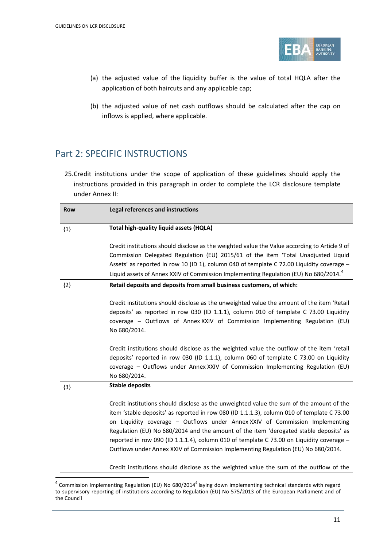j



- (a) the adjusted value of the liquidity buffer is the value of total HQLA after the application of both haircuts and any applicable cap;
- (b) the adjusted value of net cash outflows should be calculated after the cap on inflows is applied, where applicable.

### Part 2: SPECIFIC INSTRUCTIONS

25.Credit institutions under the scope of application of these guidelines should apply the instructions provided in this paragraph in order to complete the LCR disclosure template under Annex II:

| <b>Row</b> | Legal references and instructions                                                                                                                                                                                                                                                                                                                                                                                                                                                                                                                |
|------------|--------------------------------------------------------------------------------------------------------------------------------------------------------------------------------------------------------------------------------------------------------------------------------------------------------------------------------------------------------------------------------------------------------------------------------------------------------------------------------------------------------------------------------------------------|
| ${1}$      | Total high-quality liquid assets (HQLA)                                                                                                                                                                                                                                                                                                                                                                                                                                                                                                          |
|            | Credit institutions should disclose as the weighted value the Value according to Article 9 of<br>Commission Delegated Regulation (EU) 2015/61 of the item 'Total Unadjusted Liquid<br>Assets' as reported in row 10 (ID 1), column 040 of template C 72.00 Liquidity coverage -<br>Liquid assets of Annex XXIV of Commission Implementing Regulation (EU) No 680/2014. <sup>4</sup>                                                                                                                                                              |
| ${2}$      | Retail deposits and deposits from small business customers, of which:                                                                                                                                                                                                                                                                                                                                                                                                                                                                            |
|            | Credit institutions should disclose as the unweighted value the amount of the item 'Retail<br>deposits' as reported in row 030 (ID 1.1.1), column 010 of template C 73.00 Liquidity<br>coverage - Outflows of Annex XXIV of Commission Implementing Regulation (EU)<br>No 680/2014.                                                                                                                                                                                                                                                              |
|            | Credit institutions should disclose as the weighted value the outflow of the item 'retail<br>deposits' reported in row 030 (ID 1.1.1), column 060 of template C 73.00 on Liquidity<br>coverage - Outflows under Annex XXIV of Commission Implementing Regulation (EU)<br>No 680/2014.                                                                                                                                                                                                                                                            |
| ${3}$      | <b>Stable deposits</b>                                                                                                                                                                                                                                                                                                                                                                                                                                                                                                                           |
|            | Credit institutions should disclose as the unweighted value the sum of the amount of the<br>item 'stable deposits' as reported in row 080 (ID 1.1.1.3), column 010 of template C 73.00<br>on Liquidity coverage - Outflows under Annex XXIV of Commission Implementing<br>Regulation (EU) No 680/2014 and the amount of the item 'derogated stable deposits' as<br>reported in row 090 (ID 1.1.1.4), column 010 of template C 73.00 on Liquidity coverage -<br>Outflows under Annex XXIV of Commission Implementing Regulation (EU) No 680/2014. |
|            | Credit institutions should disclose as the weighted value the sum of the outflow of the                                                                                                                                                                                                                                                                                                                                                                                                                                                          |

<span id="page-10-0"></span> $4$  Commission Implementing Regulation (EU) No 680/2014<sup>4</sup> laying down implementing technical standards with regard to supervisory reporting of institutions according to Regulation (EU) No 575/2013 of the European Parliament and of the Council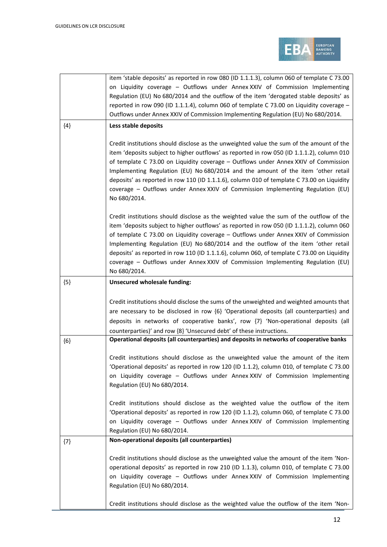

|       | item 'stable deposits' as reported in row 080 (ID 1.1.1.3), column 060 of template C 73.00<br>on Liquidity coverage - Outflows under Annex XXIV of Commission Implementing<br>Regulation (EU) No 680/2014 and the outflow of the item 'derogated stable deposits' as<br>reported in row 090 (ID 1.1.1.4), column 060 of template C 73.00 on Liquidity coverage -<br>Outflows under Annex XXIV of Commission Implementing Regulation (EU) No 680/2014.                                                                                                                |
|-------|----------------------------------------------------------------------------------------------------------------------------------------------------------------------------------------------------------------------------------------------------------------------------------------------------------------------------------------------------------------------------------------------------------------------------------------------------------------------------------------------------------------------------------------------------------------------|
| ${4}$ | Less stable deposits                                                                                                                                                                                                                                                                                                                                                                                                                                                                                                                                                 |
|       | Credit institutions should disclose as the unweighted value the sum of the amount of the<br>item 'deposits subject to higher outflows' as reported in row 050 (ID 1.1.1.2), column 010<br>of template C 73.00 on Liquidity coverage - Outflows under Annex XXIV of Commission<br>Implementing Regulation (EU) No 680/2014 and the amount of the item 'other retail<br>deposits' as reported in row 110 (ID 1.1.1.6), column 010 of template C 73.00 on Liquidity<br>coverage - Outflows under Annex XXIV of Commission Implementing Regulation (EU)<br>No 680/2014.  |
|       | Credit institutions should disclose as the weighted value the sum of the outflow of the<br>item 'deposits subject to higher outflows' as reported in row 050 (ID 1.1.1.2), column 060<br>of template C 73.00 on Liquidity coverage - Outflows under Annex XXIV of Commission<br>Implementing Regulation (EU) No 680/2014 and the outflow of the item 'other retail<br>deposits' as reported in row 110 (ID 1.1.1.6), column 060, of template C 73.00 on Liquidity<br>coverage - Outflows under Annex XXIV of Commission Implementing Regulation (EU)<br>No 680/2014. |
| ${5}$ | <b>Unsecured wholesale funding:</b>                                                                                                                                                                                                                                                                                                                                                                                                                                                                                                                                  |
|       | Credit institutions should disclose the sums of the unweighted and weighted amounts that<br>are necessary to be disclosed in row {6} 'Operational deposits (all counterparties) and<br>deposits in networks of cooperative banks', row {7} 'Non-operational deposits (all<br>counterparties)' and row {8} 'Unsecured debt' of these instructions.                                                                                                                                                                                                                    |
| ${6}$ | Operational deposits (all counterparties) and deposits in networks of cooperative banks                                                                                                                                                                                                                                                                                                                                                                                                                                                                              |
|       | Credit institutions should disclose as the unweighted value the amount of the item<br>'Operational deposits' as reported in row 120 (ID 1.1.2), column 010, of template C 73.00<br>on Liquidity coverage - Outflows under Annex XXIV of Commission Implementing<br>Regulation (EU) No 680/2014.                                                                                                                                                                                                                                                                      |
|       | Credit institutions should disclose as the weighted value the outflow of the item<br>'Operational deposits' as reported in row 120 (ID 1.1.2), column 060, of template C 73.00<br>on Liquidity coverage - Outflows under Annex XXIV of Commission Implementing<br>Regulation (EU) No 680/2014.                                                                                                                                                                                                                                                                       |
| ${7}$ | Non-operational deposits (all counterparties)                                                                                                                                                                                                                                                                                                                                                                                                                                                                                                                        |
|       | Credit institutions should disclose as the unweighted value the amount of the item 'Non-<br>operational deposits' as reported in row 210 (ID 1.1.3), column 010, of template C 73.00<br>on Liquidity coverage - Outflows under Annex XXIV of Commission Implementing<br>Regulation (EU) No 680/2014.                                                                                                                                                                                                                                                                 |
|       | Credit institutions should disclose as the weighted value the outflow of the item 'Non-                                                                                                                                                                                                                                                                                                                                                                                                                                                                              |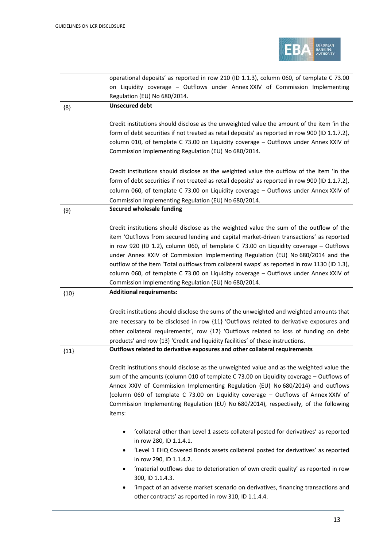

|        | operational deposits' as reported in row 210 (ID 1.1.3), column 060, of template C 73.00                                                                                                                                                                                                                                        |
|--------|---------------------------------------------------------------------------------------------------------------------------------------------------------------------------------------------------------------------------------------------------------------------------------------------------------------------------------|
|        | on Liquidity coverage - Outflows under Annex XXIV of Commission Implementing                                                                                                                                                                                                                                                    |
|        | Regulation (EU) No 680/2014.                                                                                                                                                                                                                                                                                                    |
| ${8}$  | <b>Unsecured debt</b>                                                                                                                                                                                                                                                                                                           |
|        | Credit institutions should disclose as the unweighted value the amount of the item 'in the                                                                                                                                                                                                                                      |
|        | form of debt securities if not treated as retail deposits' as reported in row 900 (ID 1.1.7.2),                                                                                                                                                                                                                                 |
|        | column 010, of template C 73.00 on Liquidity coverage - Outflows under Annex XXIV of                                                                                                                                                                                                                                            |
|        | Commission Implementing Regulation (EU) No 680/2014.                                                                                                                                                                                                                                                                            |
|        | Credit institutions should disclose as the weighted value the outflow of the item 'in the                                                                                                                                                                                                                                       |
|        | form of debt securities if not treated as retail deposits' as reported in row 900 (ID 1.1.7.2),                                                                                                                                                                                                                                 |
|        | column 060, of template C 73.00 on Liquidity coverage - Outflows under Annex XXIV of                                                                                                                                                                                                                                            |
|        | Commission Implementing Regulation (EU) No 680/2014.                                                                                                                                                                                                                                                                            |
| ${9}$  | <b>Secured wholesale funding</b>                                                                                                                                                                                                                                                                                                |
|        | Credit institutions should disclose as the weighted value the sum of the outflow of the<br>item 'Outflows from secured lending and capital market-driven transactions' as reported<br>in row 920 (ID 1.2), column 060, of template C 73.00 on Liquidity coverage - Outflows                                                     |
|        | under Annex XXIV of Commission Implementing Regulation (EU) No 680/2014 and the<br>outflow of the item 'Total outflows from collateral swaps' as reported in row 1130 (ID 1.3),<br>column 060, of template C 73.00 on Liquidity coverage - Outflows under Annex XXIV of<br>Commission Implementing Regulation (EU) No 680/2014. |
|        |                                                                                                                                                                                                                                                                                                                                 |
| ${10}$ | <b>Additional requirements:</b>                                                                                                                                                                                                                                                                                                 |
|        |                                                                                                                                                                                                                                                                                                                                 |
|        | Credit institutions should disclose the sums of the unweighted and weighted amounts that                                                                                                                                                                                                                                        |
|        | are necessary to be disclosed in row {11} 'Outflows related to derivative exposures and                                                                                                                                                                                                                                         |
|        | other collateral requirements', row {12} 'Outflows related to loss of funding on debt                                                                                                                                                                                                                                           |
|        | products' and row {13} 'Credit and liquidity facilities' of these instructions.                                                                                                                                                                                                                                                 |
| ${11}$ | Outflows related to derivative exposures and other collateral requirements                                                                                                                                                                                                                                                      |
|        | Credit institutions should disclose as the unweighted value and as the weighted value the                                                                                                                                                                                                                                       |
|        | sum of the amounts (column 010 of template C 73.00 on Liquidity coverage - Outflows of                                                                                                                                                                                                                                          |
|        | Annex XXIV of Commission Implementing Regulation (EU) No 680/2014) and outflows                                                                                                                                                                                                                                                 |
|        | (column 060 of template C 73.00 on Liquidity coverage - Outflows of Annex XXIV of                                                                                                                                                                                                                                               |
|        | Commission Implementing Regulation (EU) No 680/2014), respectively, of the following<br>items:                                                                                                                                                                                                                                  |
|        | 'collateral other than Level 1 assets collateral posted for derivatives' as reported<br>٠<br>in row 280, ID 1.1.4.1.                                                                                                                                                                                                            |
|        | 'Level 1 EHQ Covered Bonds assets collateral posted for derivatives' as reported<br>$\bullet$<br>in row 290, ID 1.1.4.2.                                                                                                                                                                                                        |
|        | 'material outflows due to deterioration of own credit quality' as reported in row<br>$\bullet$<br>300, ID 1.1.4.3.                                                                                                                                                                                                              |
|        | 'impact of an adverse market scenario on derivatives, financing transactions and                                                                                                                                                                                                                                                |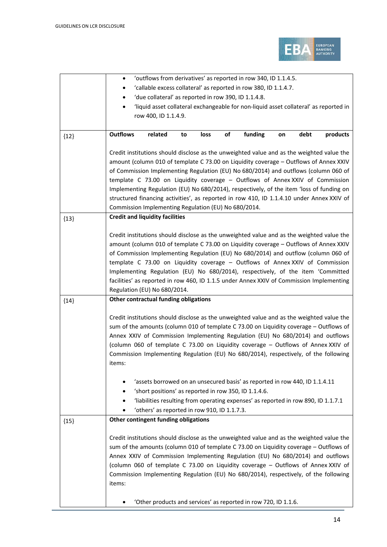

|        | 'outflows from derivatives' as reported in row 340, ID 1.1.4.5.<br>٠                      |                                                       |    |      |    |                                                                                    |    |      |          |
|--------|-------------------------------------------------------------------------------------------|-------------------------------------------------------|----|------|----|------------------------------------------------------------------------------------|----|------|----------|
|        | 'callable excess collateral' as reported in row 380, ID 1.1.4.7.                          |                                                       |    |      |    |                                                                                    |    |      |          |
|        | 'due collateral' as reported in row 390, ID 1.1.4.8.                                      |                                                       |    |      |    |                                                                                    |    |      |          |
|        | 'liquid asset collateral exchangeable for non-liquid asset collateral' as reported in     |                                                       |    |      |    |                                                                                    |    |      |          |
|        |                                                                                           | row 400, ID 1.1.4.9.                                  |    |      |    |                                                                                    |    |      |          |
|        |                                                                                           |                                                       |    |      |    |                                                                                    |    |      |          |
| ${12}$ | <b>Outflows</b>                                                                           | related                                               | to | loss | of | funding                                                                            | on | debt | products |
|        |                                                                                           |                                                       |    |      |    |                                                                                    |    |      |          |
|        | Credit institutions should disclose as the unweighted value and as the weighted value the |                                                       |    |      |    |                                                                                    |    |      |          |
|        | amount (column 010 of template C 73.00 on Liquidity coverage - Outflows of Annex XXIV     |                                                       |    |      |    |                                                                                    |    |      |          |
|        | of Commission Implementing Regulation (EU) No 680/2014) and outflows (column 060 of       |                                                       |    |      |    |                                                                                    |    |      |          |
|        | template C 73.00 on Liquidity coverage - Outflows of Annex XXIV of Commission             |                                                       |    |      |    |                                                                                    |    |      |          |
|        | Implementing Regulation (EU) No 680/2014), respectively, of the item 'loss of funding on  |                                                       |    |      |    |                                                                                    |    |      |          |
|        | structured financing activities', as reported in row 410, ID 1.1.4.10 under Annex XXIV of |                                                       |    |      |    |                                                                                    |    |      |          |
|        | Commission Implementing Regulation (EU) No 680/2014.                                      |                                                       |    |      |    |                                                                                    |    |      |          |
| ${13}$ | <b>Credit and liquidity facilities</b>                                                    |                                                       |    |      |    |                                                                                    |    |      |          |
|        |                                                                                           |                                                       |    |      |    |                                                                                    |    |      |          |
|        | Credit institutions should disclose as the unweighted value and as the weighted value the |                                                       |    |      |    |                                                                                    |    |      |          |
|        | amount (column 010 of template C 73.00 on Liquidity coverage - Outflows of Annex XXIV     |                                                       |    |      |    |                                                                                    |    |      |          |
|        | of Commission Implementing Regulation (EU) No 680/2014) and outflow (column 060 of        |                                                       |    |      |    |                                                                                    |    |      |          |
|        | template C 73.00 on Liquidity coverage - Outflows of Annex XXIV of Commission             |                                                       |    |      |    |                                                                                    |    |      |          |
|        | Implementing Regulation (EU) No 680/2014), respectively, of the item 'Committed           |                                                       |    |      |    |                                                                                    |    |      |          |
|        | facilities' as reported in row 460, ID 1.1.5 under Annex XXIV of Commission Implementing  |                                                       |    |      |    |                                                                                    |    |      |          |
|        | Regulation (EU) No 680/2014.                                                              |                                                       |    |      |    |                                                                                    |    |      |          |
| ${14}$ | Other contractual funding obligations                                                     |                                                       |    |      |    |                                                                                    |    |      |          |
|        |                                                                                           |                                                       |    |      |    |                                                                                    |    |      |          |
|        | Credit institutions should disclose as the unweighted value and as the weighted value the |                                                       |    |      |    |                                                                                    |    |      |          |
|        | sum of the amounts (column 010 of template C 73.00 on Liquidity coverage - Outflows of    |                                                       |    |      |    |                                                                                    |    |      |          |
|        | Annex XXIV of Commission Implementing Regulation (EU) No 680/2014) and outflows           |                                                       |    |      |    |                                                                                    |    |      |          |
|        | (column 060 of template C 73.00 on Liquidity coverage - Outflows of Annex XXIV of         |                                                       |    |      |    |                                                                                    |    |      |          |
|        | Commission Implementing Regulation (EU) No 680/2014), respectively, of the following      |                                                       |    |      |    |                                                                                    |    |      |          |
|        | items:                                                                                    |                                                       |    |      |    |                                                                                    |    |      |          |
|        |                                                                                           |                                                       |    |      |    |                                                                                    |    |      |          |
|        |                                                                                           |                                                       |    |      |    | 'assets borrowed on an unsecured basis' as reported in row 440, ID 1.1.4.11        |    |      |          |
|        |                                                                                           | 'short positions' as reported in row 350, ID 1.1.4.6. |    |      |    |                                                                                    |    |      |          |
|        |                                                                                           |                                                       |    |      |    | 'liabilities resulting from operating expenses' as reported in row 890, ID 1.1.7.1 |    |      |          |
|        |                                                                                           |                                                       |    |      |    |                                                                                    |    |      |          |
|        |                                                                                           | 'others' as reported in row 910, ID 1.1.7.3.          |    |      |    |                                                                                    |    |      |          |
| ${15}$ | Other contingent funding obligations                                                      |                                                       |    |      |    |                                                                                    |    |      |          |
|        |                                                                                           |                                                       |    |      |    |                                                                                    |    |      |          |
|        | Credit institutions should disclose as the unweighted value and as the weighted value the |                                                       |    |      |    |                                                                                    |    |      |          |
|        | sum of the amounts (column 010 of template C 73.00 on Liquidity coverage - Outflows of    |                                                       |    |      |    |                                                                                    |    |      |          |
|        | Annex XXIV of Commission Implementing Regulation (EU) No 680/2014) and outflows           |                                                       |    |      |    |                                                                                    |    |      |          |
|        | (column 060 of template C 73.00 on Liquidity coverage - Outflows of Annex XXIV of         |                                                       |    |      |    |                                                                                    |    |      |          |
|        | Commission Implementing Regulation (EU) No 680/2014), respectively, of the following      |                                                       |    |      |    |                                                                                    |    |      |          |
|        | items:                                                                                    |                                                       |    |      |    |                                                                                    |    |      |          |
|        |                                                                                           |                                                       |    |      |    |                                                                                    |    |      |          |
|        |                                                                                           |                                                       |    |      |    | 'Other products and services' as reported in row 720, ID 1.1.6.                    |    |      |          |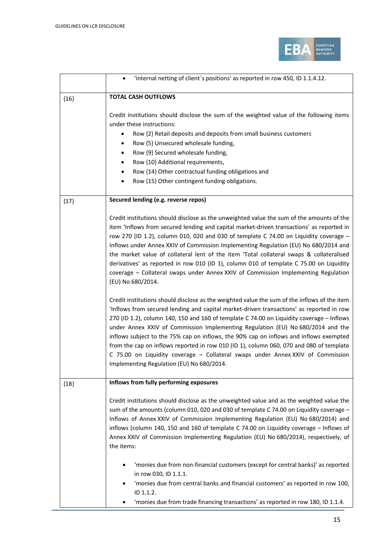

|        | 'internal netting of client's positions' as reported in row 450, ID 1.1.4.12.<br>$\bullet$                                                                                                                                                                                                                                                                                                                                                                                                                                                                                                                                                                                                    |
|--------|-----------------------------------------------------------------------------------------------------------------------------------------------------------------------------------------------------------------------------------------------------------------------------------------------------------------------------------------------------------------------------------------------------------------------------------------------------------------------------------------------------------------------------------------------------------------------------------------------------------------------------------------------------------------------------------------------|
| ${16}$ | <b>TOTAL CASH OUTFLOWS</b>                                                                                                                                                                                                                                                                                                                                                                                                                                                                                                                                                                                                                                                                    |
|        | Credit institutions should disclose the sum of the weighted value of the following items<br>under these instructions:<br>Row {2} Retail deposits and deposits from small business customers<br>Row {5} Unsecured wholesale funding,<br>Row {9} Secured wholesale funding,<br>Row {10} Additional requirements,<br>Row {14} Other contractual funding obligations and<br>Row {15} Other contingent funding obligations.                                                                                                                                                                                                                                                                        |
| ${17}$ | Secured lending (e.g. reverse repos)                                                                                                                                                                                                                                                                                                                                                                                                                                                                                                                                                                                                                                                          |
|        | Credit institutions should disclose as the unweighted value the sum of the amounts of the<br>item 'Inflows from secured lending and capital market-driven transactions' as reported in<br>row 270 (ID 1.2), column 010, 020 and 030 of template C 74.00 on Liquidity coverage $-$<br>Inflows under Annex XXIV of Commission Implementing Regulation (EU) No 680/2014 and<br>the market value of collateral lent of the item 'Total collateral swaps & collateralised<br>derivatives' as reported in row 010 (ID 1), column 010 of template C 75.00 on Liquidity<br>coverage - Collateral swaps under Annex XXIV of Commission Implementing Regulation<br>(EU) No 680/2014.                    |
|        | Credit institutions should disclose as the weighted value the sum of the inflows of the item<br>'Inflows from secured lending and capital market-driven transactions' as reported in row<br>270 (ID 1.2), column 140, 150 and 160 of template C 74.00 on Liquidity coverage - Inflows<br>under Annex XXIV of Commission Implementing Regulation (EU) No 680/2014 and the<br>inflows subject to the 75% cap on inflows, the 90% cap on inflows and inflows exempted<br>from the cap on inflows reported in row 010 (ID 1), column 060, 070 and 080 of template<br>C 75.00 on Liquidity coverage - Collateral swaps under Annex XXIV of Commission<br>Implementing Regulation (EU) No 680/2014. |
| ${18}$ | Inflows from fully performing exposures                                                                                                                                                                                                                                                                                                                                                                                                                                                                                                                                                                                                                                                       |
|        | Credit institutions should disclose as the unweighted value and as the weighted value the<br>sum of the amounts (column 010, 020 and 030 of template C 74.00 on Liquidity coverage -<br>Inflows of Annex XXIV of Commission Implementing Regulation (EU) No 680/2014) and<br>inflows (column 140, 150 and 160 of template C 74.00 on Liquidity coverage - Inflows of<br>Annex XXIV of Commission Implementing Regulation (EU) No 680/2014), respectively, of<br>the items:                                                                                                                                                                                                                    |
|        | 'monies due from non-financial customers (except for central banks)' as reported<br>in row 030, ID 1.1.1.<br>'monies due from central banks and financial customers' as reported in row 100,<br>ID 1.1.2.                                                                                                                                                                                                                                                                                                                                                                                                                                                                                     |
|        | 'monies due from trade financing transactions' as reported in row 180, ID 1.1.4.                                                                                                                                                                                                                                                                                                                                                                                                                                                                                                                                                                                                              |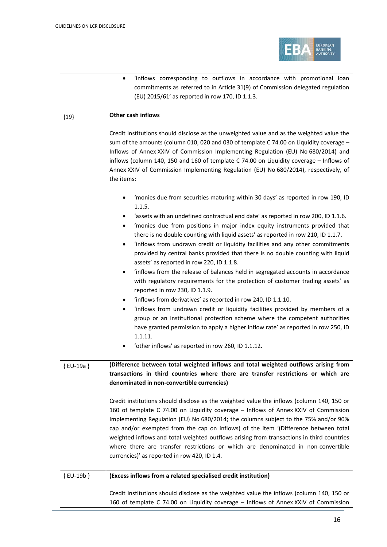

|            | 'inflows corresponding to outflows in accordance with promotional loan<br>commitments as referred to in Article 31(9) of Commission delegated regulation<br>(EU) 2015/61' as reported in row 170, ID 1.1.3.                                                                                                                                                                                                                                                                                                                                                                                      |
|------------|--------------------------------------------------------------------------------------------------------------------------------------------------------------------------------------------------------------------------------------------------------------------------------------------------------------------------------------------------------------------------------------------------------------------------------------------------------------------------------------------------------------------------------------------------------------------------------------------------|
| ${19}$     | Other cash inflows                                                                                                                                                                                                                                                                                                                                                                                                                                                                                                                                                                               |
|            | Credit institutions should disclose as the unweighted value and as the weighted value the<br>sum of the amounts (column 010, 020 and 030 of template C 74.00 on Liquidity coverage -<br>Inflows of Annex XXIV of Commission Implementing Regulation (EU) No 680/2014) and<br>inflows (column 140, 150 and 160 of template C 74.00 on Liquidity coverage - Inflows of<br>Annex XXIV of Commission Implementing Regulation (EU) No 680/2014), respectively, of<br>the items:                                                                                                                       |
|            | 'monies due from securities maturing within 30 days' as reported in row 190, ID<br>1.1.5.                                                                                                                                                                                                                                                                                                                                                                                                                                                                                                        |
|            | 'assets with an undefined contractual end date' as reported in row 200, ID 1.1.6.<br>'monies due from positions in major index equity instruments provided that<br>٠<br>there is no double counting with liquid assets' as reported in row 210, ID 1.1.7.<br>'inflows from undrawn credit or liquidity facilities and any other commitments<br>$\bullet$<br>provided by central banks provided that there is no double counting with liquid<br>assets' as reported in row 220, ID 1.1.8.                                                                                                         |
|            | 'inflows from the release of balances held in segregated accounts in accordance<br>$\bullet$<br>with regulatory requirements for the protection of customer trading assets' as<br>reported in row 230, ID 1.1.9.                                                                                                                                                                                                                                                                                                                                                                                 |
|            | 'inflows from derivatives' as reported in row 240, ID 1.1.10.<br>'inflows from undrawn credit or liquidity facilities provided by members of a<br>$\bullet$<br>group or an institutional protection scheme where the competent authorities<br>have granted permission to apply a higher inflow rate' as reported in row 250, ID<br>1.1.11.                                                                                                                                                                                                                                                       |
|            | 'other inflows' as reported in row 260, ID 1.1.12.                                                                                                                                                                                                                                                                                                                                                                                                                                                                                                                                               |
| {EU-19a}   | (Difference between total weighted inflows and total weighted outflows arising from<br>transactions in third countries where there are transfer restrictions or which are<br>denominated in non-convertible currencies)                                                                                                                                                                                                                                                                                                                                                                          |
|            | Credit institutions should disclose as the weighted value the inflows (column 140, 150 or<br>160 of template C 74.00 on Liquidity coverage - Inflows of Annex XXIV of Commission<br>Implementing Regulation (EU) No 680/2014; the columns subject to the 75% and/or 90%<br>cap and/or exempted from the cap on inflows) of the item '(Difference between total<br>weighted inflows and total weighted outflows arising from transactions in third countries<br>where there are transfer restrictions or which are denominated in non-convertible<br>currencies)' as reported in row 420, ID 1.4. |
| ${EU-19b}$ | (Excess inflows from a related specialised credit institution)                                                                                                                                                                                                                                                                                                                                                                                                                                                                                                                                   |
|            | Credit institutions should disclose as the weighted value the inflows (column 140, 150 or<br>160 of template C 74.00 on Liquidity coverage - Inflows of Annex XXIV of Commission                                                                                                                                                                                                                                                                                                                                                                                                                 |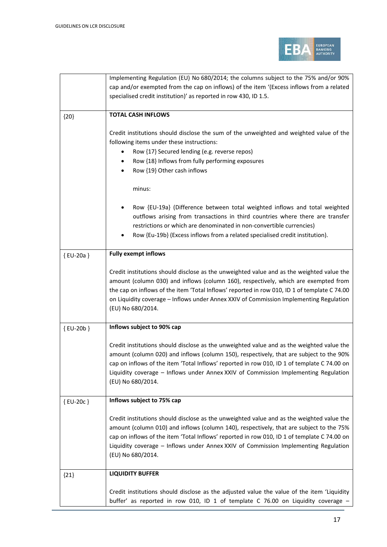

|          | Implementing Regulation (EU) No 680/2014; the columns subject to the 75% and/or 90%<br>cap and/or exempted from the cap on inflows) of the item '(Excess inflows from a related<br>specialised credit institution)' as reported in row 430, ID 1.5.                                                                                                                                             |
|----------|-------------------------------------------------------------------------------------------------------------------------------------------------------------------------------------------------------------------------------------------------------------------------------------------------------------------------------------------------------------------------------------------------|
| ${20}$   | <b>TOTAL CASH INFLOWS</b>                                                                                                                                                                                                                                                                                                                                                                       |
|          | Credit institutions should disclose the sum of the unweighted and weighted value of the<br>following items under these instructions:<br>Row {17} Secured lending (e.g. reverse repos)<br>Row {18} Inflows from fully performing exposures<br>٠<br>Row {19} Other cash inflows<br>$\bullet$                                                                                                      |
|          | minus:                                                                                                                                                                                                                                                                                                                                                                                          |
|          | Row {EU-19a} (Difference between total weighted inflows and total weighted<br>outflows arising from transactions in third countries where there are transfer<br>restrictions or which are denominated in non-convertible currencies)<br>Row {Eu-19b} (Excess inflows from a related specialised credit institution).                                                                            |
| {EU-20a} | <b>Fully exempt inflows</b>                                                                                                                                                                                                                                                                                                                                                                     |
|          | Credit institutions should disclose as the unweighted value and as the weighted value the<br>amount (column 030) and inflows (column 160), respectively, which are exempted from<br>the cap on inflows of the item 'Total Inflows' reported in row 010, ID 1 of template C 74.00<br>on Liquidity coverage - Inflows under Annex XXIV of Commission Implementing Regulation<br>(EU) No 680/2014. |
| {EU-20b} | Inflows subject to 90% cap                                                                                                                                                                                                                                                                                                                                                                      |
|          | Credit institutions should disclose as the unweighted value and as the weighted value the<br>amount (column 020) and inflows (column 150), respectively, that are subject to the 90%<br>cap on inflows of the item 'Total Inflows' reported in row 010, ID 1 of template C 74.00 on<br>Liquidity coverage - Inflows under Annex XXIV of Commission Implementing Regulation<br>(EU) No 680/2014. |
| {EU-20c} | Inflows subject to 75% cap                                                                                                                                                                                                                                                                                                                                                                      |
|          | Credit institutions should disclose as the unweighted value and as the weighted value the<br>amount (column 010) and inflows (column 140), respectively, that are subject to the 75%<br>cap on inflows of the item 'Total Inflows' reported in row 010, ID 1 of template C 74.00 on<br>Liquidity coverage - Inflows under Annex XXIV of Commission Implementing Regulation<br>(EU) No 680/2014. |
| ${21}$   | <b>LIQUIDITY BUFFER</b>                                                                                                                                                                                                                                                                                                                                                                         |
|          | Credit institutions should disclose as the adjusted value the value of the item 'Liquidity<br>buffer' as reported in row 010, ID 1 of template C 76.00 on Liquidity coverage -                                                                                                                                                                                                                  |